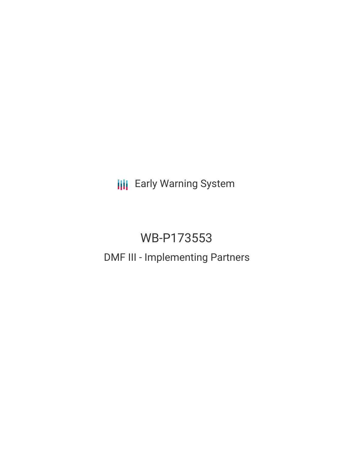**III** Early Warning System

# WB-P173553 DMF III - Implementing Partners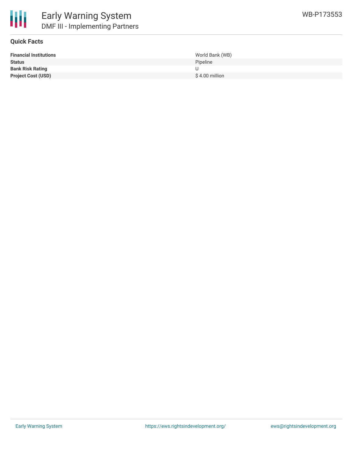



## **Quick Facts**

| <b>Financial Institutions</b> | World Bank (WB) |
|-------------------------------|-----------------|
| <b>Status</b>                 | Pipeline        |
| <b>Bank Risk Rating</b>       |                 |
| <b>Project Cost (USD)</b>     | \$4.00 million  |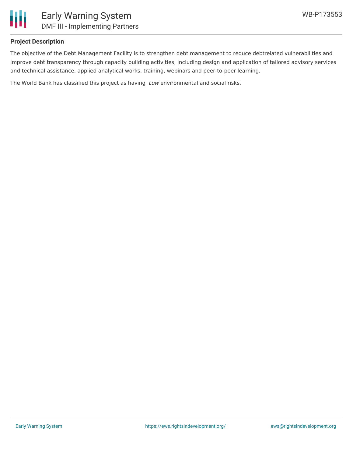

## **Project Description**

The objective of the Debt Management Facility is to strengthen debt management to reduce debtrelated vulnerabilities and improve debt transparency through capacity building activities, including design and application of tailored advisory services and technical assistance, applied analytical works, training, webinars and peer-to-peer learning.

The World Bank has classified this project as having Low environmental and social risks.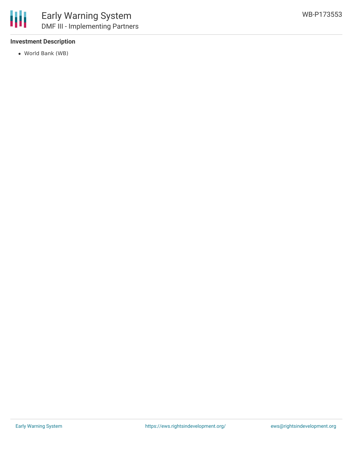## **Investment Description**

World Bank (WB)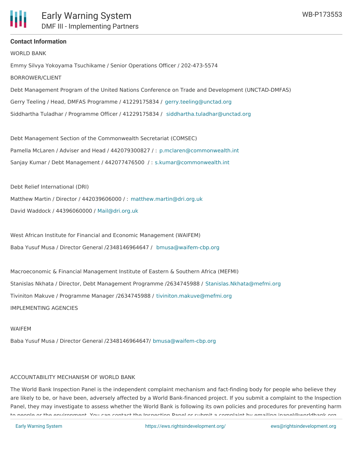## **Contact Information**

WORLD BANK Emmy Silvya Yokoyama Tsuchikame / Senior Operations Officer / 202-473-5574 BORROWER/CLIENT Debt Management Program of the United Nations Conference on Trade and Development (UNCTAD-DMFAS) Gerry Teeling / Head, DMFAS Programme / 41229175834 / [gerry.teeling@unctad.org](mailto:gerry.teeling@unctad.org) Siddhartha Tuladhar / Programme Officer / 41229175834 / [siddhartha.tuladhar@unctad.org](mailto:siddhartha.tuladhar@unctad.org)

Debt Management Section of the Commonwealth Secretariat (COMSEC) Pamella McLaren / Adviser and Head / 442079300827 / : [p.mclaren@commonwealth.int](mailto:p.mclaren@commonwealth.int) Sanjay Kumar / Debt Management / 442077476500 / : [s.kumar@commonwealth.int](mailto:s.kumar@commonwealth.int)

Debt Relief International (DRI)

Matthew Martin / Director / 442039606000 / : [matthew.martin@dri.org.uk](mailto:matthew.martin@dri.org.uk) David Waddock / 44396060000 / [Mail@dri.org.uk](mailto:Mail@dri.org.uk)

West African Institute for Financial and Economic Management (WAIFEM) Baba Yusuf Musa / Director General /2348146964647 / [bmusa@waifem-cbp.org](mailto:bmusa@waifem-cbp.org)

Macroeconomic & Financial Management Institute of Eastern & Southern Africa (MEFMI) Stanislas Nkhata / Director, Debt Management Programme /2634745988 / [Stanislas.Nkhata@mefmi.org](mailto:Stanislas.Nkhata@mefmi.org) Tiviniton Makuve / Programme Manager /2634745988 / [tiviniton.makuve@mefmi.org](mailto:tiviniton.makuve@mefmi.org) IMPLEMENTING AGENCIES

#### WAIFEM

Baba Yusuf Musa / Director General /2348146964647/ [bmusa@waifem-cbp.org](mailto:bmusa@waifem-cbp.org)

### ACCOUNTABILITY MECHANISM OF WORLD BANK

The World Bank Inspection Panel is the independent complaint mechanism and fact-finding body for people who believe they are likely to be, or have been, adversely affected by a World Bank-financed project. If you submit a complaint to the Inspection Panel, they may investigate to assess whether the World Bank is following its own policies and procedures for preventing harm to people or the environment. You can contact the Inspection Panel or submit a complaint by emailing ipanel@worldbank.org.